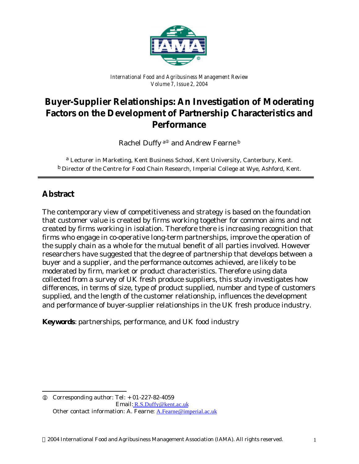

*International Food and Agribusiness Management Review Volume 7, Issue 2, 2004*

# **Buyer-Supplier Relationships: An Investigation of Moderating Factors on the Development of Partnership Characteristics and Performance**

Rachel Duffy<sup>a<sub>0</sub></sup> and Andrew Fearne<sup>b</sup>

a *Lecturer in Marketing, Kent Business School, Kent University, Canterbury, Kent.* b *Director of the Centre for Food Chain Research, Imperial College at Wye, Ashford, Kent.*

## **Abstract**

l

The contemporary view of competitiveness and strategy is based on the foundation that customer value is created by firms working together for common aims and not created by firms working in isolation. Therefore there is increasing recognition that firms who engage in co-operative long-term partnerships, improve the operation of the supply chain as a whole for the mutual benefit of all parties involved. However researchers have suggested that the degree of partnership that develops between a buyer and a supplier, and the performance outcomes achieved, are likely to be moderated by firm, market or product characteristics. Therefore using data collected from a survey of UK fresh produce suppliers, this study investigates how differences, in terms of size, type of product supplied, number and type of customers supplied, and the length of the customer relationship, influences the development and performance of buyer-supplier relationships in the UK fresh produce industry.

**Keywords**: partnerships, performance, and UK food industry

 $Q$  Corresponding author: Tel:  $+$  01-227-82-4059 Email: R.S.Duffy@kent.ac.uk Other contact information: A. Fearne: A.Fearne@imperial.ac.uk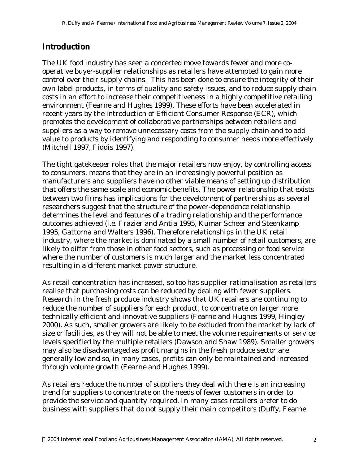## **Introduction**

The UK food industry has seen a concerted move towards fewer and more cooperative buyer-supplier relationships as retailers have attempted to gain more control over their supply chains. This has been done to ensure the integrity of their own label products, in terms of quality and safety issues, and to reduce supply chain costs in an effort to increase their competitiveness in a highly competitive retailing environment (Fearne and Hughes 1999). These efforts have been accelerated in recent years by the introduction of Efficient Consumer Response (ECR), which promotes the development of collaborative partnerships between retailers and suppliers as a way to remove unnecessary costs from the supply chain and to add value to products by identifying and responding to consumer needs more effectively (Mitchell 1997, Fiddis 1997).

The tight gatekeeper roles that the major retailers now enjoy, by controlling access to consumers, means that they are in an increasingly powerful position as manufacturers and suppliers have no other viable means of setting up distribution that offers the same scale and economic benefits. The power relationship that exists between two firms has implications for the development of partnerships as several researchers suggest that the structure of the power-dependence relationship determines the level and features of a trading relationship and the performance outcomes achieved (i.e. Frazier and Antia 1995, Kumar Scheer and Steenkamp 1995, Gattorna and Walters 1996). Therefore relationships in the UK retail industry, where the market is dominated by a small number of retail customers, are likely to differ from those in other food sectors, such as processing or food service where the number of customers is much larger and the market less concentrated resulting in a different market power structure.

As retail concentration has increased, so too has supplier rationalisation as retailers realise that purchasing costs can be reduced by dealing with fewer suppliers. Research in the fresh produce industry shows that UK retailers are continuing to reduce the number of suppliers for each product, to concentrate on larger more technically efficient and innovative suppliers (Fearne and Hughes 1999, Hingley 2000). As such, smaller growers are likely to be excluded from the market by lack of size or facilities, as they will not be able to meet the volume requirements or service levels specified by the multiple retailers (Dawson and Shaw 1989). Smaller growers may also be disadvantaged as profit margins in the fresh produce sector are generally low and so, in many cases, profits can only be maintained and increased through volume growth (Fearne and Hughes 1999).

As retailers reduce the number of suppliers they deal with there is an increasing trend for suppliers to concentrate on the needs of fewer customers in order to provide the service and quantity required. In many cases retailers prefer to do business with suppliers that do not supply their main competitors (Duffy, Fearne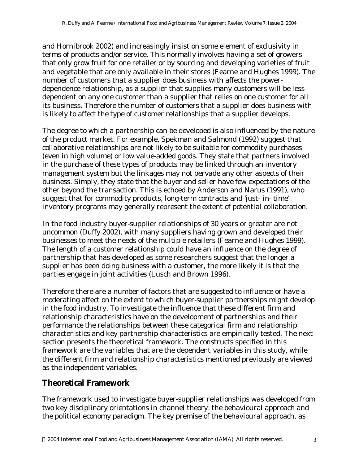and Hornibrook 2002) and increasingly insist on some element of exclusivity in terms of products and/or service. This normally involves having a set of growers that only grow fruit for one retailer or by sourcing and developing varieties of fruit and vegetable that are only available in their stores (Fearne and Hughes 1999). The number of customers that a supplier does business with affects the powerdependence relationship, as a supplier that supplies many customers will be less dependent on any one customer than a supplier that relies on one customer for all its business. Therefore the number of customers that a supplier does business with is likely to affect the type of customer relationships that a supplier develops.

The degree to which a partnership can be developed is also influenced by the nature of the product market. For example, Spekman and Salmond (1992) suggest that collaborative relationships are not likely to be suitable for commodity purchases (even in high volume) or low value-added goods. They state that partners involved in the purchase of these types of products may be linked through an inventory management system but the linkages may not pervade any other aspects of their business. Simply, they state that the buyer and seller have few expectations of the other beyond the transaction. This is echoed by Anderson and Narus (1991), who suggest that for commodity products, long-term contracts and 'just- in- time' inventory programs may generally represent the extent of potential collaboration.

In the food industry buyer-supplier relationships of 30 years or greater are not uncommon (Duffy 2002), with many suppliers having grown and developed their businesses to meet the needs of the multiple retailers (Fearne and Hughes 1999). The length of a customer relationship could have an influence on the degree of partnership that has developed as some researchers suggest that the longer a supplier has been doing business with a customer, the more likely it is that the parties engage in joint activities (Lusch and Brown 1996).

Therefore there are a number of factors that are suggested to influence or have a moderating affect on the extent to which buyer-supplier partnerships might develop in the food industry. To investigate the influence that these different firm and relationship characteristics have on the development of partnerships and their performance the relationships between these categorical firm and relationship characteristics and key partnership characteristics are empirically tested. The next section presents the theoretical framework. The constructs specified in this framework are the variables that are the dependent variables in this study, while the different firm and relationship characteristics mentioned previously are viewed as the independent variables.

## **Theoretical Framework**

The framework used to investigate buyer-supplier relationships was developed from two key disciplinary orientations in channel theory: the behavioural approach and the political economy paradigm. The key premise of the behavioural approach, as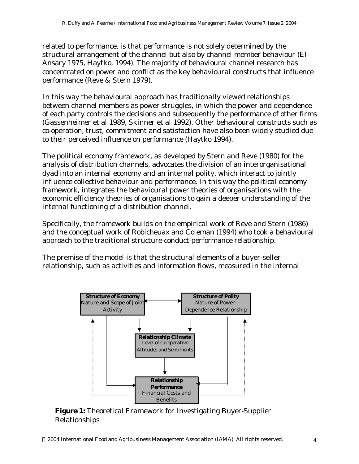related to performance, is that performance is not solely determined by the structural arrangement of the channel but also by channel member behaviour (El-Ansary 1975, Haytko, 1994). The majority of behavioural channel research has concentrated on power and conflict as the key behavioural constructs that influence performance (Reve & Stern 1979).

In this way the behavioural approach has traditionally viewed relationships between channel members as power struggles, in which the power and dependence of each party controls the decisions and subsequently the performance of other firms (Gassenheimer et al 1989, Skinner et al 1992). Other behavioural constructs such as co-operation, trust, commitment and satisfaction have also been widely studied due to their perceived influence on performance (Haytko 1994).

The political economy framework, as developed by Stern and Reve (1980) for the analysis of distribution channels, advocates the division of an interorganisational dyad into an internal economy and an internal polity, which interact to jointly influence collective behaviour and performance. In this way the political economy framework, integrates the behavioural power theories of organisations with the economic efficiency theories of organisations to gain a deeper understanding of the internal functioning of a distribution channel.

Specifically, the framework builds on the empirical work of Reve and Stern (1986) and the conceptual work of Robicheuax and Coleman (1994) who took a behavioural approach to the traditional structure-conduct-performance relationship.

The premise of the model is that the structural elements of a buyer-seller relationship, such as activities and information flows, measured in the internal



**Figure 1:** Theoretical Framework for Investigating Buyer-Supplier Relationships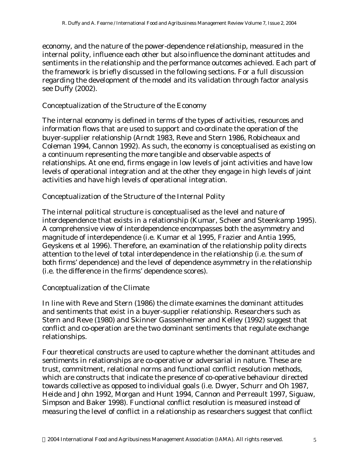economy, and the nature of the power-dependence relationship, measured in the internal polity, influence each other but also influence the dominant attitudes and sentiments in the relationship and the performance outcomes achieved. Each part of the framework is briefly discussed in the following sections. For a full discussion regarding the development of the model and its validation through factor analysis see Duffy (2002).

### *Conceptualization of the Structure of the Economy*

The internal economy is defined in terms of the types of activities, resources and information flows that are used to support and co-ordinate the operation of the buyer-supplier relationship (Arndt 1983, Reve and Stern 1986, Robicheaux and Coleman 1994, Cannon 1992). As such, the economy is conceptualised as existing on a continuum representing the more tangible and observable aspects of relationships. At one end, firms engage in low levels of joint activities and have low levels of operational integration and at the other they engage in high levels of joint activities and have high levels of operational integration.

## *Conceptualization of the Structure of the Internal Polity*

The internal political structure is conceptualised as the level and nature of interdependence that exists in a relationship (Kumar, Scheer and Steenkamp 1995). A comprehensive view of interdependence encompasses both the asymmetry and magnitude of interdependence (i.e. Kumar et al 1995, Frazier and Antia 1995, Geyskens et al 1996). Therefore, an examination of the relationship polity directs attention to the level of total interdependence in the relationship (i.e. the sum of both firms' dependence) and the level of dependence asymmetry in the relationship (i.e. the difference in the firms' dependence scores).

## *Conceptualization of the Climate*

In line with Reve and Stern (1986) the climate examines the dominant attitudes and sentiments that exist in a buyer-supplier relationship. Researchers such as Stern and Reve (1980) and Skinner Gassenheimer and Kelley (1992) suggest that conflict and co-operation are the two dominant sentiments that regulate exchange relationships.

Four theoretical constructs are used to capture whether the dominant attitudes and sentiments in relationships are co-operative or adversarial in nature. These are trust, commitment, relational norms and functional conflict resolution methods, which are constructs that indicate the presence of co-operative behaviour directed towards collective as opposed to individual goals (i.e. Dwyer, Schurr and Oh 1987, Heide and John 1992, Morgan and Hunt 1994, Cannon and Perreault 1997, Siguaw, Simpson and Baker 1998). Functional conflict resolution is measured instead of measuring the level of conflict in a relationship as researchers suggest that conflict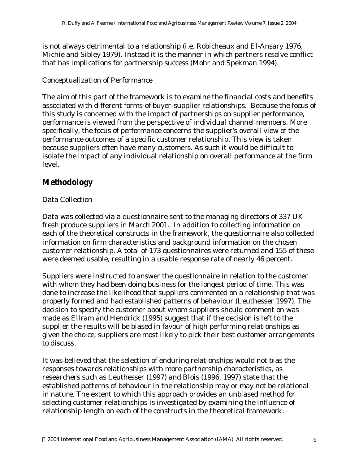is not always detrimental to a relationship (i.e. Robicheaux and El-Ansary 1976, Michie and Sibley 1979). Instead it is the manner in which partners resolve conflict that has implications for partnership success (Mohr and Spekman 1994).

### *Conceptualization of Performance*

The aim of this part of the framework is to examine the financial costs and benefits associated with different forms of buyer-supplier relationships. Because the focus of this study is concerned with the impact of partnerships on supplier performance, performance is viewed from the perspective of individual channel members. More specifically, the focus of performance concerns the supplier's overall view of the performance outcomes of a specific customer relationship. This view is taken because suppliers often have many customers. As such it would be difficult to isolate the impact of any individual relationship on overall performance at the firm level.

## **Methodology**

## *Data Collection*

Data was collected via a questionnaire sent to the managing directors of 337 UK fresh produce suppliers in March 2001. In addition to collecting information on each of the theoretical constructs in the framework, the questionnaire also collected information on firm characteristics and background information on the chosen customer relationship. A total of 173 questionnaires were returned and 155 of these were deemed usable, resulting in a usable response rate of nearly 46 percent.

Suppliers were instructed to answer the questionnaire in relation to the customer with whom they had been doing business for the longest period of time. This was done to increase the likelihood that suppliers commented on a relationship that was properly formed and had established patterns of behaviour (Leuthesser 1997). The decision to specify the customer about whom suppliers should comment on was made as Ellram and Hendrick (1995) suggest that if the decision is left to the supplier the results will be biased in favour of high performing relationships as given the choice, suppliers are most likely to pick their best customer arrangements to discuss.

It was believed that the selection of enduring relationships would not bias the responses towards relationships with more partnership characteristics, as researchers such as Leuthesser (1997) and Blois (1996, 1997) state that the established patterns of behaviour in the relationship may or may not be relational in nature. The extent to which this approach provides an unbiased method for selecting customer relationships is investigated by examining the influence of relationship length on each of the constructs in the theoretical framework.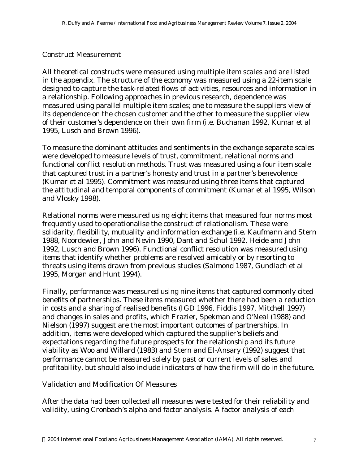### *Construct Measurement*

All theoretical constructs were measured using multiple item scales and are listed in the appendix. The structure of the economy was measured using a 22-item scale designed to capture the task-related flows of activities, resources and information in a relationship. Following approaches in previous research, dependence was measured using parallel multiple item scales; one to measure the suppliers view of its dependence on the chosen customer and the other to measure the supplier view of their customer's dependence on their own firm (i.e. Buchanan 1992, Kumar et al 1995, Lusch and Brown 1996).

To measure the dominant attitudes and sentiments in the exchange separate scales were developed to measure levels of trust, commitment, relational norms and functional conflict resolution methods. Trust was measured using a four item scale that captured trust in a partner's honesty and trust in a partner's benevolence (Kumar et al 1995). Commitment was measured using three items that captured the attitudinal and temporal components of commitment (Kumar et al 1995, Wilson and Vlosky 1998).

Relational norms were measured using eight items that measured four norms most frequently used to operationalise the construct of relationalism. These were solidarity, flexibility, mutuality and information exchange (i.e. Kaufmann and Stern 1988, Noordewier, John and Nevin 1990, Dant and Schul 1992, Heide and John 1992, Lusch and Brown 1996). Functional conflict resolution was measured using items that identify whether problems are resolved amicably or by resorting to threats using items drawn from previous studies (Salmond 1987, Gundlach et al 1995, Morgan and Hunt 1994).

Finally, performance was measured using nine items that captured commonly cited benefits of partnerships. These items measured whether there had been a reduction in costs and a sharing of realised benefits (IGD 1996, Fiddis 1997, Mitchell 1997) and changes in sales and profits, which Frazier, Spekman and O'Neal (1988) and Nielson (1997) suggest are the most important outcomes of partnerships. In addition, items were developed which captured the supplier's beliefs and expectations regarding the future prospects for the relationship and its future viability as Woo and Willard (1983) and Stern and El-Ansary (1992) suggest that performance cannot be measured solely by past or current levels of sales and profitability, but should also include indicators of how the firm will do in the future.

#### *Validation and Modification Of Measures*

After the data had been collected all measures were tested for their reliability and validity, using Cronbach's alpha and factor analysis. A factor analysis of each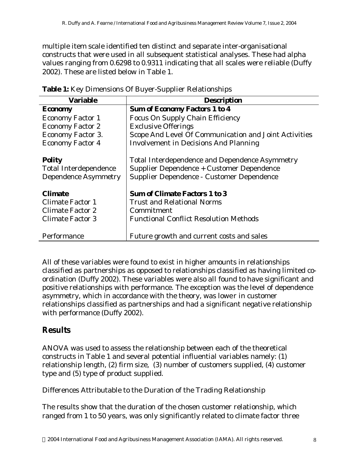multiple item scale identified ten distinct and separate inter-organisational constructs that were used in all subsequent statistical analyses. These had alpha values ranging from 0.6298 to 0.9311 indicating that all scales were reliable (Duffy 2002). These are listed below in Table 1.

| <b>Variable</b>              | <b>Description</b>                                    |
|------------------------------|-------------------------------------------------------|
| <b>Economy</b>               | <b>Sum of Economy Factors 1 to 4</b>                  |
| <b>Economy Factor 1</b>      | <b>Focus On Supply Chain Efficiency</b>               |
| <b>Economy Factor 2</b>      | <b>Exclusive Offerings</b>                            |
| Economy Factor 3.            | Scope And Level Of Communication and Joint Activities |
| <b>Economy Factor 4</b>      | <b>Involvement in Decisions And Planning</b>          |
| <b>Polity</b>                | Total Interdependence and Dependence Asymmetry        |
| <b>Total Interdependence</b> | Supplier Dependence + Customer Dependence             |
| <b>Dependence Asymmetry</b>  | Supplier Dependence - Customer Dependence             |
| <b>Climate</b>               | <b>Sum of Climate Factors 1 to 3</b>                  |
| <b>Climate Factor 1</b>      | <b>Trust and Relational Norms</b>                     |
| Climate Factor 2             | Commitment                                            |
| <b>Climate Factor 3</b>      | <b>Functional Conflict Resolution Methods</b>         |
| Performance                  | Future growth and current costs and sales             |

| Table 1: Key Dimensions Of Buyer-Supplier Relationships |
|---------------------------------------------------------|
|---------------------------------------------------------|

All of these variables were found to exist in higher amounts in relationships classified as partnerships as opposed to relationships classified as having limited coordination (Duffy 2002). These variables were also all found to have significant and positive relationships with performance. The exception was the level of dependence asymmetry, which in accordance with the theory, was lower in customer relationships classified as partnerships and had a significant negative relationship with performance (Duffy 2002).

## **Results**

ANOVA was used to assess the relationship between each of the theoretical constructs in Table 1 and several potential influential variables namely: (1) relationship length, (2) firm size, (3) number of customers supplied, (4) customer type and (5) type of product supplied.

## *Differences Attributable to the Duration of the Trading Relationship*

The results show that the duration of the chosen customer relationship, which ranged from 1 to 50 years, was only significantly related to climate factor three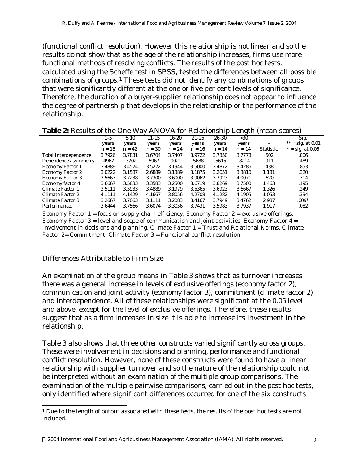(functional conflict resolution). However this relationship is not linear and so the results do not show that as the age of the relationship increases, firms use more functional methods of resolving conflicts. The results of the post hoc tests, calculated using the Scheffe test in SPSS, tested the differences between all possible combinations of groups.1 These tests did not identify any combinations of groups that were significantly different at the one or five per cent levels of significance. Therefore, the duration of a buyer-supplier relationship does not appear to influence the degree of partnership that develops in the relationship or the performance of the relationship.

|                              |          |          | $\cdot$   |           |           |          | ັ        |           | $\epsilon$          |
|------------------------------|----------|----------|-----------|-----------|-----------|----------|----------|-----------|---------------------|
|                              | $1 - 5$  | $6 - 10$ | $11 - 15$ | $16 - 20$ | $21 - 25$ | 26-30    | >30      |           | Sig.                |
|                              | years    | years    | years     | years     | years     | years    | years    | F         | ** = sig. at $0.01$ |
|                              | $n = 15$ | $n = 42$ | $n = 30$  | $n = 24$  | $n = 16$  | $n = 14$ | $n = 14$ | Statistic | $* = sig. at 0.05$  |
| <b>Total Interdependence</b> | 3.7926   | 3.7831   | 3.6704    | 3.7407    | 3.9722    | 3.7350   | 3.7778   | .502      | .806                |
| Dependence asymmetry         | .4967    | .3702    | .6967     | .9021     | .5688     | .5615    | .8214    | .911      | .489                |
| <b>Economy Factor 1</b>      | 3.4889   | 3.4524   | 3.5222    | 3.1944    | 3.5000    | 3.4872   | 3.4286   | .438      | .853                |
| <b>Economy Factor 2</b>      | 3.0222   | 3.1587   | 2.6889    | 3.1389    | 3.1875    | 3.2051   | 3.3810   | 1.181     | .320                |
| <b>Economy Factor 3</b>      | 3.5667   | 3.7238   | 3.7300    | 3.6000    | 3.9062    | 3.7923   | 4.0071   | .620      | .714                |
| Economy factor 4             | 3.6667   | 3.5833   | 3.3583    | 3.2500    | 3.6719    | 3.8269   | 3.7500   | 1.463     | .195                |
| Climate Factor 1             | 3.5111   | 3.5933   | 3.4889    | 3.1979    | 3.5365    | 3.6923   | 3.6667   | 1.326     | .249                |
| Climate Factor 2             | 4.1111   | 4.1429   | 4.1667    | 3.8056    | 4.2708    | 4.1282   | 4.1905   | 1.053     | .394                |
| Climate Factor 3             | 3.2667   | 3.7063   | 3.1111    | 3.2083    | 3.4167    | 3.7949   | 3.4762   | 2.987     | $.009*$             |
| Performance.                 | 3.6444   | 3.7566   | 3.6074    | 3.3056    | 3.7431    | 3.5983   | 3.7937   | 1.917     | .082                |

**Table 2:** Results of the One Way ANOVA for Relationship Length (mean scores)

Economy Factor  $1 =$  focus on supply chain efficiency, Economy Factor  $2 =$  exclusive offerings, Economy Factor 3 = level and scope of communication and joint activities, Economy Factor  $4 =$ Involvement in decisions and planning, Climate Factor 1 = Trust and Relational Norms, Climate Factor 2= Commitment, Climate Factor 3 = Functional conflict resolution

#### *Differences Attributable to Firm Size*

l

An examination of the group means in Table 3 shows that as turnover increases there was a general increase in levels of exclusive offerings (economy factor 2), communication and joint activity (economy factor 3), commitment (climate factor 2) and interdependence. All of these relationships were significant at the 0.05 level and above, except for the level of exclusive offerings. Therefore, these results suggest that as a firm increases in size it is able to increase its investment in the relationship.

Table 3 also shows that three other constructs varied significantly across groups. These were involvement in decisions and planning, performance and functional conflict resolution. However, none of these constructs were found to have a linear relationship with supplier turnover and so the nature of the relationship could not be interpreted without an examination of the multiple group comparisons. The examination of the multiple pairwise comparisons, carried out in the post hoc tests, only identified where significant differences occurred for one of the six constructs

<sup>1</sup> Due to the length of output associated with these tests, the results of the post hoc tests are not included.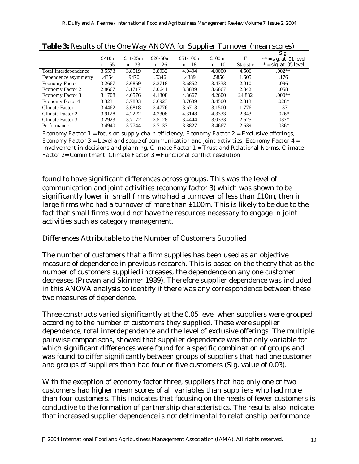|                       |                   |                        |                        |                      |                       |                | $\overline{\phantom{a}}$                                    |
|-----------------------|-------------------|------------------------|------------------------|----------------------|-----------------------|----------------|-------------------------------------------------------------|
|                       | f<10m<br>$n = 65$ | £11-25 $m$<br>$n = 33$ | £26-50 $m$<br>$n = 26$ | £51-100m<br>$n = 18$ | £100 $m+$<br>$n = 10$ | F<br>Statistic | Sig.<br>$**$ = sig. at .01 level<br>$*$ = sig. at .05 level |
| Total Interdependence | 3.5573            | 3.8519                 | 3.8932                 | 4.0494               | 4.0000                | 4.506          | $.002**$                                                    |
| Dependence asymmetry  | .4354             | .9470                  | .5346                  | .4389                | .5850                 | 1.605          | .176                                                        |
| Economy Factor 1      | 3.2667            | 3.6869                 | 3.3718                 | 3.6852               | 3.4333                | 2.010          | .096                                                        |
| Economy Factor 2      | 2.8667            | 3.1717                 | 3.0641                 | 3.3889               | 3.6667                | 2.342          | .058                                                        |
| Economy Factor 3      | 3.1708            | 4.0576                 | 4.1308                 | 4.3667               | 4.2600                | 24.832         | $.000**$                                                    |
| Economy factor 4      | 3.3231            | 3.7803                 | 3.6923                 | 3.7639               | 3.4500                | 2.813          | $.028*$                                                     |
| Climate Factor 1      | 3.4462            | 3.6818                 | 3.4776                 | 3.6713               | 3.1500                | 1.776          | 137                                                         |
| Climate Factor 2      | 3.9128            | 4.2222                 | 4.2308                 | 4.3148               | 4.3333                | 2.843          | $.026*$                                                     |
| Climate Factor 3      | 3.2923            | 3.7172                 | 3.5128                 | 3.4444               | 3.0333                | 2.625          | $.037*$                                                     |
| Performance.          | 3.4940            | 3.7744                 | 3.7137                 | 3.8827               | 3.4667                | 2.639          | $.036*$                                                     |

| Table 3: Results of the One Way ANOVA for Supplier Turnover (mean scores) |  |  |  |  |  |  |
|---------------------------------------------------------------------------|--|--|--|--|--|--|
|---------------------------------------------------------------------------|--|--|--|--|--|--|

Economy Factor  $1 =$  focus on supply chain efficiency, Economy Factor  $2 =$  Exclusive offerings, Economy Factor  $3 =$  Level and scope of communication and joint activities, Economy Factor  $4 =$ Involvement in decisions and planning, Climate Factor 1 = Trust and Relational Norms, Climate Factor 2= Commitment, Climate Factor 3 = Functional conflict resolution

found to have significant differences across groups. This was the level of communication and joint activities (economy factor 3) which was shown to be significantly lower in small firms who had a turnover of less than £10m, then in large firms who had a turnover of more than £100m. This is likely to be due to the fact that small firms would not have the resources necessary to engage in joint activities such as category management.

#### *Differences Attributable to the Number of Customers Supplied*

The number of customers that a firm supplies has been used as an objective measure of dependence in previous research. This is based on the theory that as the number of customers supplied increases, the dependence on any one customer decreases (Provan and Skinner 1989). Therefore supplier dependence was included in this ANOVA analysis to identify if there was any correspondence between these two measures of dependence.

Three constructs varied significantly at the 0.05 level when suppliers were grouped according to the number of customers they supplied. These were supplier dependence, total interdependence and the level of exclusive offerings. The multiple pairwise comparisons, showed that supplier dependence was the only variable for which significant differences were found for a specific combination of groups and was found to differ significantly between groups of suppliers that had one customer and groups of suppliers than had four or five customers (Sig. value of 0.03).

With the exception of economy factor three, suppliers that had only one or two customers had higher mean scores of all variables than suppliers who had more than four customers. This indicates that focusing on the needs of fewer customers is conductive to the formation of partnership characteristics. The results also indicate that increased supplier dependence is not detrimental to relationship performance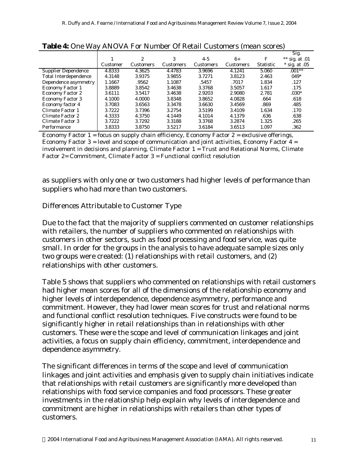|                              |          |                  |                  |                  |                  |                  | Sig.               |
|------------------------------|----------|------------------|------------------|------------------|------------------|------------------|--------------------|
|                              |          | $\boldsymbol{2}$ | 3                | $4-5$            | $6+$             | F                | ** sig. at $.01$   |
|                              | Customer | <b>Customers</b> | <b>Customers</b> | <b>Customers</b> | <b>Customers</b> | <b>Statistic</b> | *<br>sig. at $.05$ |
| <b>Supplier Dependence</b>   | 4.8333   | 4.3625           | 4.4783           | 3.9696           | 4.1241           | 5.060            | $.001**$           |
| <b>Total Interdependence</b> | 4.3148   | 3.9375           | 3.9855           | 3.7271           | 3.8123           | 2.463            | $049*$             |
| Dependence asymmetry         | 1.1667   | .9562            | 1.1087           | .5457            | .7017            | 1.834            | .127               |
| <b>Economy Factor 1</b>      | 3.8889   | 3.8542           | 3.4638           | 3.3768           | 3.5057           | 1.617            | .175               |
| <b>Economy Factor 2</b>      | 3.6111   | 3.5417           | 3.4638           | 2.9203           | 2.9080           | 2.781            | $.030*$            |
| <b>Economy Factor 3</b>      | 4.1000   | 4.0000           | 3.8348           | 3.8652           | 4.0828           | .664             | .618               |
| Economy factor 4             | 3.7083   | 3.6563           | 3.3478           | 3.6630           | 3.4569           | .869             | .485               |
| Climate Factor 1             | 3.7222   | 3.7396           | 3.2754           | 3.5199           | 3.4109           | 1.634            | .170               |
| Climate Factor 2             | 4.3333   | 4.3750           | 4.1449           | 4.1014           | 4.1379           | .636             | .638               |
| Climate Factor 3             | 3.7222   | 3.7292           | 3.3188           | 3.3768           | 3.2874           | 1.325            | .265               |
| Performance                  | 3.8333   | 3.8750           | 3.5217           | 3.6184           | 3.6513           | 1.097            | .362               |

#### **Table 4:** One Way ANOVA For Number Of Retail Customers (mean scores)

Economy Factor  $1 =$  focus on supply chain efficiency, Economy Factor  $2 =$  exclusive offerings, Economy Factor  $3$  = level and scope of communication and joint activities, Economy Factor  $4$  = involvement in decisions and planning, Climate Factor 1 = Trust and Relational Norms, Climate Factor 2= Commitment, Climate Factor 3 = Functional conflict resolution

as suppliers with only one or two customers had higher levels of performance than suppliers who had more than two customers.

### *Differences Attributable to Customer Type*

Due to the fact that the majority of suppliers commented on customer relationships with retailers, the number of suppliers who commented on relationships with customers in other sectors, such as food processing and food service, was quite small. In order for the groups in the analysis to have adequate sample sizes only two groups were created: (1) relationships with retail customers, and (2) relationships with other customers.

Table 5 shows that suppliers who commented on relationships with retail customers had higher mean scores for all of the dimensions of the relationship economy and higher levels of interdependence, dependence asymmetry, performance and commitment. However, they had lower mean scores for trust and relational norms and functional conflict resolution techniques. Five constructs were found to be significantly higher in retail relationships than in relationships with other customers. These were the scope and level of communication linkages and joint activities, a focus on supply chain efficiency, commitment, interdependence and dependence asymmetry.

The significant differences in terms of the scope and level of communication linkages and joint activities and emphasis given to supply chain initiatives indicate that relationships with retail customers are significantly more developed than relationships with food service companies and food processors. These greater investments in the relationship help explain why levels of interdependence and commitment are higher in relationships with retailers than other types of customers.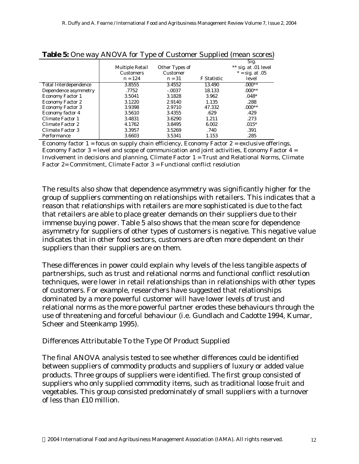|                              |                  |                |             | Sig.                 |
|------------------------------|------------------|----------------|-------------|----------------------|
|                              | Multiple Retail  | Other Types of |             | ** sig. at .01 level |
|                              | <b>Customers</b> | Customer       |             | $* = sig. at .05$    |
|                              | $n = 124$        | $n = 31$       | F Statistic | level                |
| <b>Total Interdependence</b> | 3.8555           | 3.4552         | 13.490      | $.000**$             |
| Dependence asymmetry         | .7752            | $-.0037$       | 18.133      | $.000**$             |
| <b>Economy Factor 1</b>      | 3.5041           | 3.1828         | 3.962       | $.048*$              |
| <b>Economy Factor 2</b>      | 3.1220           | 2.9140         | 1.135       | .288                 |
| <b>Economy Factor 3</b>      | 3.9398           | 2.9710         | 47.332      | $.000**$             |
| Economy factor 4             | 3.5610           | 3.4355         | .629        | .429                 |
| Climate Factor 1             | 3.4831           | 3.6290         | 1.211       | .273                 |
| Climate Factor 2             | 4.1762           | 3.8495         | 6.002       | $.015*$              |
| Climate Factor 3             | 3.3957           | 3.5269         | .740        | .391                 |
| Performance                  | 3.6603           | 3.5341         | 1.153       | .285                 |

#### **Table 5:** One way ANOVA for Type of Customer Supplied (mean scores)

Economy factor  $1 =$  focus on supply chain efficiency, Economy Factor  $2 =$  exclusive offerings, Economy Factor 3 = level and scope of communication and joint activities, Economy Factor  $4 =$ Involvement in decisions and planning, Climate Factor 1 = Trust and Relational Norms, Climate Factor 2= Commitment, Climate Factor 3 = Functional conflict resolution

The results also show that dependence asymmetry was significantly higher for the group of suppliers commenting on relationships with retailers. This indicates that a reason that relationships with retailers are more sophisticated is due to the fact that retailers are able to place greater demands on their suppliers due to their immense buying power. Table 5 also shows that the mean score for dependence asymmetry for suppliers of other types of customers is negative. This negative value indicates that in other food sectors, customers are often more dependent on their suppliers than their suppliers are on them.

These differences in power could explain why levels of the less tangible aspects of partnerships, such as trust and relational norms and functional conflict resolution techniques, were lower in retail relationships than in relationships with other types of customers. For example, researchers have suggested that relationships dominated by a more powerful customer will have lower levels of trust and relational norms as the more powerful partner erodes these behaviours through the use of threatening and forceful behaviour (i.e. Gundlach and Cadotte 1994, Kumar, Scheer and Steenkamp 1995).

#### *Differences Attributable To the Type Of Product Supplied*

The final ANOVA analysis tested to see whether differences could be identified between suppliers of commodity products and suppliers of luxury or added value products. Three groups of suppliers were identified. The first group consisted of suppliers who only supplied commodity items, such as traditional loose fruit and vegetables. This group consisted predominately of small suppliers with a turnover of less than £10 million.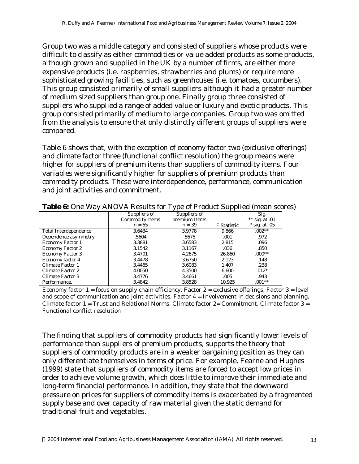Group two was a middle category and consisted of suppliers whose products were difficult to classify as either commodities or value added products as some products, although grown and supplied in the UK by a number of firms, are either more expensive products (i.e. raspberries, strawberries and plums) or require more sophisticated growing facilities, such as greenhouses (i.e. tomatoes, cucumbers). This group consisted primarily of small suppliers although it had a greater number of medium sized suppliers than group one. Finally group three consisted of suppliers who supplied a range of added value or luxury and exotic products. This group consisted primarily of medium to large companies. Group two was omitted from the analysis to ensure that only distinctly different groups of suppliers were compared.

Table 6 shows that, with the exception of economy factor two (exclusive offerings) and climate factor three (functional conflict resolution) the group means were higher for suppliers of premium items than suppliers of commodity items. Four variables were significantly higher for suppliers of premium products than commodity products. These were interdependence, performance, communication and joint activities and commitment.

| $\tilde{\phantom{a}}$   |                        | ັ             | . .         |                  |
|-------------------------|------------------------|---------------|-------------|------------------|
|                         | Suppliers of           | Suppliers of  |             | Sig.             |
|                         | <b>Commodity Items</b> | premium Items |             | ** sig. at $.01$ |
|                         | $n = 65$               | $n = 39$      | F Statistic | $*$ sig. at .05  |
| Total Interdependence   | 3.6434                 | 3.9778        | 9.866       | $.002**$         |
| Dependence asymmetry    | .5604                  | .5675         | .001        | .972             |
| Economy Factor 1        | 3.3881                 | 3.6583        | 2.815       | .096             |
| <b>Economy Factor 2</b> | 3.1542                 | 3.1167        | .036        | .850             |
| <b>Economy Factor 3</b> | 3.4701                 | 4.2675        | 26.860      | $.000**$         |
| Economy factor 4        | 3.4478                 | 3.6750        | 2.123       | .148             |
| Climate Factor 1        | 3.4465                 | 3.6083        | 1.407       | .238             |
| Climate Factor 2        | 4.0050                 | 4.3500        | 6.600       | $.012*$          |
| Climate Factor 3        | 3.4776                 | 3.4661        | .005        | .943             |
| Performance.            | 3.4842                 | 3.8528        | 10.925      | $.001**$         |

**Table 6:** One Way ANOVA Results for Type of Product Supplied (mean scores)

Economy factor  $1 =$  focus on supply chain efficiency, Factor  $2 =$  exclusive offerings, Factor  $3 =$  level and scope of communication and joint activities, Factor  $4 =$  Involvement in decisions and planning, Climate factor  $1 =$  Trust and Relational Norms, Climate factor  $2 =$  Commitment, Climate factor  $3 =$ Functional conflict resolution

The finding that suppliers of commodity products had significantly lower levels of performance than suppliers of premium products, supports the theory that suppliers of commodity products are in a weaker bargaining position as they can only differentiate themselves in terms of price. For example, Fearne and Hughes (1999) state that suppliers of commodity items are forced to accept low prices in order to achieve volume growth, which does little to improve their immediate and long-term financial performance. In addition, they state that the downward pressure on prices for suppliers of commodity items is exacerbated by a fragmented supply base and over capacity of raw material given the static demand for traditional fruit and vegetables.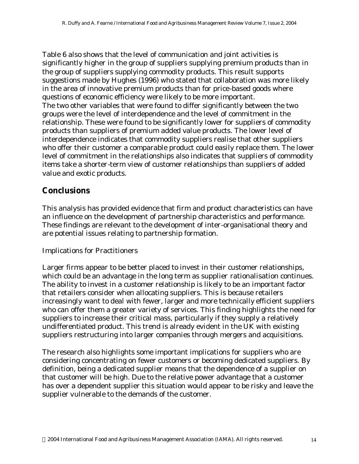Table 6 also shows that the level of communication and joint activities is significantly higher in the group of suppliers supplying premium products than in the group of suppliers supplying commodity products. This result supports suggestions made by Hughes (1996) who stated that collaboration was more likely in the area of innovative premium products than for price-based goods where questions of economic efficiency were likely to be more important. The two other variables that were found to differ significantly between the two groups were the level of interdependence and the level of commitment in the relationship. These were found to be significantly lower for suppliers of commodity products than suppliers of premium added value products. The lower level of interdependence indicates that commodity suppliers realise that other suppliers who offer their customer a comparable product could easily replace them. The lower level of commitment in the relationships also indicates that suppliers of commodity items take a shorter-term view of customer relationships than suppliers of added value and exotic products.

## **Conclusions**

This analysis has provided evidence that firm and product characteristics can have an influence on the development of partnership characteristics and performance. These findings are relevant to the development of inter-organisational theory and are potential issues relating to partnership formation.

#### *Implications for Practitioners*

Larger firms appear to be better placed to invest in their customer relationships, which could be an advantage in the long term as supplier rationalisation continues. The ability to invest in a customer relationship is likely to be an important factor that retailers consider when allocating suppliers. This is because retailers increasingly want to deal with fewer, larger and more technically efficient suppliers who can offer them a greater variety of services. This finding highlights the need for suppliers to increase their critical mass, particularly if they supply a relatively undifferentiated product. This trend is already evident in the UK with existing suppliers restructuring into larger companies through mergers and acquisitions.

The research also highlights some important implications for suppliers who are considering concentrating on fewer customers or becoming dedicated suppliers. By definition, being a dedicated supplier means that the dependence of a supplier on that customer will be high. Due to the relative power advantage that a customer has over a dependent supplier this situation would appear to be risky and leave the supplier vulnerable to the demands of the customer.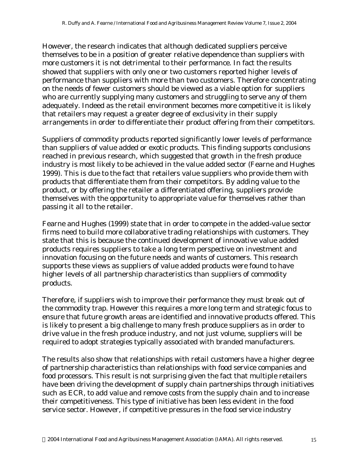However, the research indicates that although dedicated suppliers perceive themselves to be in a position of greater relative dependence than suppliers with more customers it is not detrimental to their performance. In fact the results showed that suppliers with only one or two customers reported higher levels of performance than suppliers with more than two customers. Therefore concentrating on the needs of fewer customers should be viewed as a viable option for suppliers who are currently supplying many customers and struggling to serve any of them adequately. Indeed as the retail environment becomes more competitive it is likely that retailers may request a greater degree of exclusivity in their supply arrangements in order to differentiate their product offering from their competitors.

Suppliers of commodity products reported significantly lower levels of performance than suppliers of value added or exotic products. This finding supports conclusions reached in previous research, which suggested that growth in the fresh produce industry is most likely to be achieved in the value added sector (Fearne and Hughes 1999). This is due to the fact that retailers value suppliers who provide them with products that differentiate them from their competitors. By adding value to the product, or by offering the retailer a differentiated offering, suppliers provide themselves with the opportunity to appropriate value for themselves rather than passing it all to the retailer.

Fearne and Hughes (1999) state that in order to compete in the added-value sector firms need to build more collaborative trading relationships with customers. They state that this is because the continued development of innovative value added products requires suppliers to take a long term perspective on investment and innovation focusing on the future needs and wants of customers. This research supports these views as suppliers of value added products were found to have higher levels of all partnership characteristics than suppliers of commodity products.

Therefore, if suppliers wish to improve their performance they must break out of the commodity trap. However this requires a more long term and strategic focus to ensure that future growth areas are identified and innovative products offered. This is likely to present a big challenge to many fresh produce suppliers as in order to drive value in the fresh produce industry, and not just volume, suppliers will be required to adopt strategies typically associated with branded manufacturers.

The results also show that relationships with retail customers have a higher degree of partnership characteristics than relationships with food service companies and food processors. This result is not surprising given the fact that multiple retailers have been driving the development of supply chain partnerships through initiatives such as ECR, to add value and remove costs from the supply chain and to increase their competitiveness. This type of initiative has been less evident in the food service sector. However, if competitive pressures in the food service industry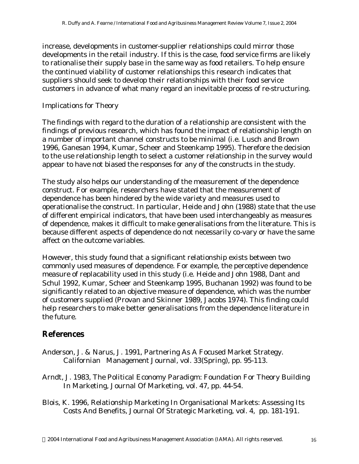increase, developments in customer-supplier relationships could mirror those developments in the retail industry. If this is the case, food service firms are likely to rationalise their supply base in the same way as food retailers. To help ensure the continued viability of customer relationships this research indicates that suppliers should seek to develop their relationships with their food service customers in advance of what many regard an inevitable process of re-structuring.

### *Implications for Theory*

The findings with regard to the duration of a relationship are consistent with the findings of previous research, which has found the impact of relationship length on a number of important channel constructs to be minimal (i.e. Lusch and Brown 1996, Ganesan 1994, Kumar, Scheer and Steenkamp 1995). Therefore the decision to the use relationship length to select a customer relationship in the survey would appear to have not biased the responses for any of the constructs in the study.

The study also helps our understanding of the measurement of the dependence construct. For example, researchers have stated that the measurement of dependence has been hindered by the wide variety and measures used to operationalise the construct. In particular, Heide and John (1988) state that the use of different empirical indicators, that have been used interchangeably as measures of dependence, makes it difficult to make generalisations from the literature. This is because different aspects of dependence do not necessarily co-vary or have the same affect on the outcome variables.

However, this study found that a significant relationship exists between two commonly used measures of dependence. For example, the perceptive dependence measure of replacability used in this study (i.e. Heide and John 1988, Dant and Schul 1992, Kumar, Scheer and Steenkamp 1995, Buchanan 1992) was found to be significantly related to an objective measure of dependence, which was the number of customers supplied (Provan and Skinner 1989, Jacobs 1974). This finding could help researchers to make better generalisations from the dependence literature in the future.

## **References**

- Anderson, J. & Narus, J. 1991, Partnering As A Focused Market Strategy. Californian Management Journal, vol. 33(Spring), pp. 95-113.
- Arndt, J. 1983, The Political Economy Paradigm: Foundation For Theory Building In Marketing, Journal Of Marketing, vol. 47, pp. 44-54.
- Blois, K. 1996, Relationship Marketing In Organisational Markets: Assessing Its Costs And Benefits, Journal Of Strategic Marketing, vol. 4, pp. 181-191.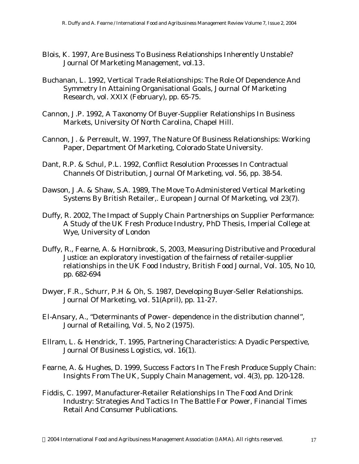- Blois, K. 1997, Are Business To Business Relationships Inherently Unstable? Journal Of Marketing Management, vol.13.
- Buchanan, L. 1992, Vertical Trade Relationships: The Role Of Dependence And Symmetry In Attaining Organisational Goals, Journal Of Marketing Research, vol. XXIX (February), pp. 65-75.
- Cannon, J.P. 1992, A Taxonomy Of Buyer-Supplier Relationships In Business Markets, University Of North Carolina, Chapel Hill.
- Cannon, J. & Perreault, W. 1997, The Nature Of Business Relationships: Working Paper, Department Of Marketing, Colorado State University.
- Dant, R.P. & Schul, P.L. 1992, Conflict Resolution Processes In Contractual Channels Of Distribution, Journal Of Marketing, vol. 56, pp. 38-54.
- Dawson, J.A. & Shaw, S.A. 1989, The Move To Administered Vertical Marketing Systems By British Retailer,. European Journal Of Marketing, vol 23(7).
- Duffy, R. 2002, The Impact of Supply Chain Partnerships on Supplier Performance: A Study of the UK Fresh Produce Industry, PhD Thesis, Imperial College at Wye, University of London
- Duffy, R., Fearne, A. & Hornibrook, S, 2003, Measuring Distributive and Procedural Justice: an exploratory investigation of the fairness of retailer-supplier relationships in the UK Food Industry, British Food Journal, Vol. 105, No 10, pp. 682-694
- Dwyer, F.R., Schurr, P.H & Oh, S. 1987, Developing Buyer-Seller Relationships. Journal Of Marketing, vol. 51(April), pp. 11-27.
- El-Ansary, A., "Determinants of Power- dependence in the distribution channel", Journal of Retailing, Vol. 5, No 2 (1975).
- Ellram, L. & Hendrick, T. 1995, Partnering Characteristics: A Dyadic Perspective, Journal Of Business Logistics, vol. 16(1).
- Fearne, A. & Hughes, D. 1999, Success Factors In The Fresh Produce Supply Chain: Insights From The UK, Supply Chain Management, vol. 4(3), pp. 120-128.
- Fiddis, C. 1997, Manufacturer-Retailer Relationships In The Food And Drink Industry: Strategies And Tactics In The Battle For Power, Financial Times Retail And Consumer Publications.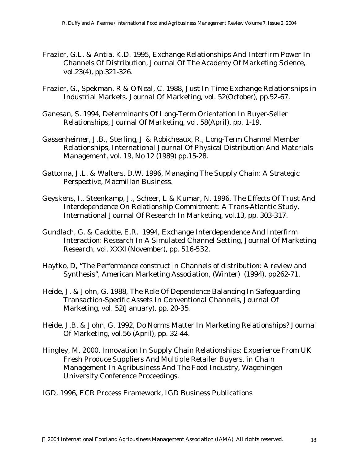- Frazier, G.L. & Antia, K.D. 1995, Exchange Relationships And Interfirm Power In Channels Of Distribution, Journal Of The Academy Of Marketing Science, vol.23(4), pp.321-326.
- Frazier, G., Spekman, R & O'Neal, C. 1988, Just In Time Exchange Relationships in Industrial Markets. Journal Of Marketing, vol. 52(October), pp.52-67.
- Ganesan, S. 1994, Determinants Of Long-Term Orientation In Buyer-Seller Relationships, Journal Of Marketing, vol. 58(April), pp. 1-19.
- Gassenheimer, J.B., Sterling, J & Robicheaux, R., Long-Term Channel Member Relationships, International Journal Of Physical Distribution And Materials Management, vol. 19, No 12 (1989) pp.15-28.
- Gattorna, J.L. & Walters, D.W. 1996, Managing The Supply Chain: A Strategic Perspective, Macmillan Business.
- Geyskens, I., Steenkamp, J., Scheer, L & Kumar, N. 1996, The Effects Of Trust And Interdependence On Relationship Commitment: A Trans-Atlantic Study, International Journal Of Research In Marketing, vol.13, pp. 303-317.
- Gundlach, G. & Cadotte, E.R. 1994, Exchange Interdependence And Interfirm Interaction: Research In A Simulated Channel Setting, Journal Of Marketing Research, vol. XXXI(November), pp. 516-532.
- Haytko, D, "The Performance construct in Channels of distribution: A review and Synthesis", American Marketing Association, (Winter) (1994), pp262-71.
- Heide, J. & John, G. 1988, The Role Of Dependence Balancing In Safeguarding Transaction-Specific Assets In Conventional Channels, Journal Of Marketing, vol. 52(January), pp. 20-35.
- Heide, J.B. & John, G. 1992, Do Norms Matter In Marketing Relationships? Journal Of Marketing, vol.56 (April), pp. 32-44.
- Hingley, M. 2000, Innovation In Supply Chain Relationships: Experience From UK Fresh Produce Suppliers And Multiple Retailer Buyers. in Chain Management In Agribusiness And The Food Industry, Wageningen University Conference Proceedings.
- IGD. 1996, ECR Process Framework, IGD Business Publications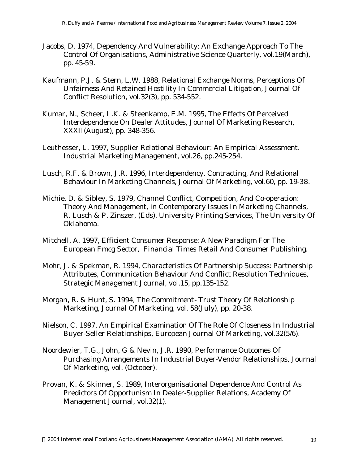- Jacobs, D. 1974, Dependency And Vulnerability: An Exchange Approach To The Control Of Organisations, Administrative Science Quarterly, vol.19(March), pp. 45-59.
- Kaufmann, P.J. & Stern, L.W. 1988, Relational Exchange Norms, Perceptions Of Unfairness And Retained Hostility In Commercial Litigation, Journal Of Conflict Resolution, vol.32(3), pp. 534-552.
- Kumar, N., Scheer, L.K. & Steenkamp, E.M. 1995, The Effects Of Perceived Interdependence On Dealer Attitudes, Journal Of Marketing Research, XXXII(August), pp. 348-356.
- Leuthesser, L. 1997, Supplier Relational Behaviour: An Empirical Assessment. Industrial Marketing Management, vol.26, pp.245-254.
- Lusch, R.F. & Brown, J.R. 1996, Interdependency, Contracting, And Relational Behaviour In Marketing Channels, Journal Of Marketing, vol.60, pp. 19-38.
- Michie, D. & Sibley, S. 1979, Channel Conflict, Competition, And Co-operation: Theory And Management, in Contemporary Issues In Marketing Channels, R. Lusch & P. Zinszer, (Eds). University Printing Services, The University Of Oklahoma.
- Mitchell, A. 1997, Efficient Consumer Response: A New Paradigm For The European Fmcg Sector, Financial Times Retail And Consumer Publishing.
- Mohr, J. & Spekman, R. 1994, Characteristics Of Partnership Success: Partnership Attributes, Communication Behaviour And Conflict Resolution Techniques, Strategic Management Journal, vol.15, pp.135-152.
- Morgan, R. & Hunt, S. 1994, The Commitment- Trust Theory Of Relationship Marketing, Journal Of Marketing, vol. 58(July), pp. 20-38.
- Nielson, C. 1997, An Empirical Examination Of The Role Of Closeness In Industrial Buyer-Seller Relationships, European Journal Of Marketing, vol.32(5/6).
- Noordewier, T.G., John, G & Nevin, J.R. 1990, Performance Outcomes Of Purchasing Arrangements In Industrial Buyer-Vendor Relationships, Journal Of Marketing, vol. (October).
- Provan, K. & Skinner, S. 1989, Interorganisational Dependence And Control As Predictors Of Opportunism In Dealer-Supplier Relations, Academy Of Management Journal, vol.32(1).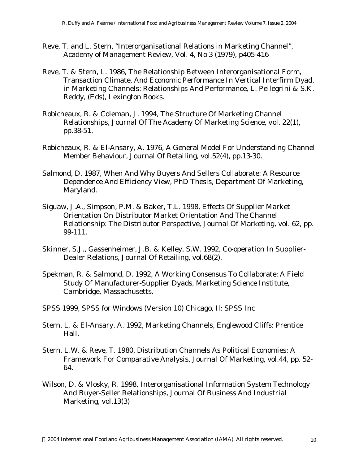- Reve, T. and L. Stern, "Interorganisational Relations in Marketing Channel", Academy of Management Review, Vol. 4, No 3 (1979), p405-416
- Reve, T. & Stern, L. 1986, The Relationship Between Interorganisational Form, Transaction Climate, And Economic Performance In Vertical Interfirm Dyad, in Marketing Channels: Relationships And Performance, L. Pellegrini & S.K. Reddy, (Eds), Lexington Books.
- Robicheaux, R. & Coleman, J. 1994, The Structure Of Marketing Channel Relationships, Journal Of The Academy Of Marketing Science, vol. 22(1), pp.38-51.
- Robicheaux, R. & El-Ansary, A. 1976, A General Model For Understanding Channel Member Behaviour, Journal Of Retailing, vol.52(4), pp.13-30.
- Salmond, D. 1987, When And Why Buyers And Sellers Collaborate: A Resource Dependence And Efficiency View, PhD Thesis, Department Of Marketing, Maryland.
- Siguaw, J.A., Simpson, P.M. & Baker, T.L. 1998, Effects Of Supplier Market Orientation On Distributor Market Orientation And The Channel Relationship: The Distributor Perspective, Journal Of Marketing, vol. 62, pp. 99-111.
- Skinner, S.J., Gassenheimer, J.B. & Kelley, S.W. 1992, Co-operation In Supplier-Dealer Relations, Journal Of Retailing, vol.68(2).
- Spekman, R. & Salmond, D. 1992, A Working Consensus To Collaborate: A Field Study Of Manufacturer-Supplier Dyads, Marketing Science Institute, Cambridge, Massachusetts.
- SPSS 1999, SPSS for Windows (Version 10) Chicago, Il: SPSS Inc
- Stern, L. & El-Ansary, A. 1992, Marketing Channels, Englewood Cliffs: Prentice Hall.
- Stern, L.W. & Reve, T. 1980, Distribution Channels As Political Economies: A Framework For Comparative Analysis, Journal Of Marketing, vol.44, pp. 52- 64.
- Wilson, D. & Vlosky, R. 1998, Interorganisational Information System Technology And Buyer-Seller Relationships, Journal Of Business And Industrial Marketing, vol.13(3)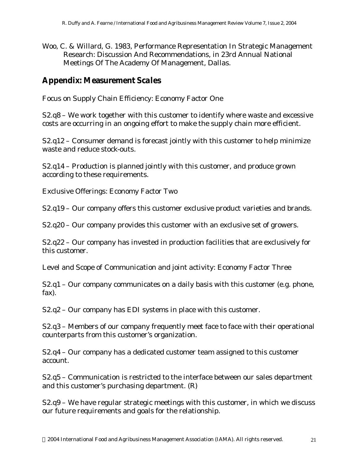Woo, C. & Willard, G. 1983, Performance Representation In Strategic Management Research: Discussion And Recommendations, in 23rd Annual National Meetings Of The Academy Of Management, Dallas.

## **Appendix: Measurement Scales**

*Focus on Supply Chain Efficiency: Economy Factor One*

S2.q8 – We work together with this customer to identify where waste and excessive costs are occurring in an ongoing effort to make the supply chain more efficient.

S2.q12 – Consumer demand is forecast jointly with this customer to help minimize waste and reduce stock-outs.

S2.q14 – Production is planned jointly with this customer, and produce grown according to these requirements.

*Exclusive Offerings: Economy Factor Two*

S2.q19 – Our company offers this customer exclusive product varieties and brands.

S2.q20 – Our company provides this customer with an exclusive set of growers.

S2.q22 – Our company has invested in production facilities that are exclusively for this customer.

*Level and Scope of Communication and joint activity: Economy Factor Three*

S2.q1 – Our company communicates on a daily basis with this customer (e.g. phone, fax).

S2.q2 – Our company has EDI systems in place with this customer.

S2.q3 – Members of our company frequently meet face to face with their operational counterparts from this customer's organization.

S2.q4 – Our company has a dedicated customer team assigned to this customer account.

S2.q5 – Communication is restricted to the interface between our sales department and this customer's purchasing department. (R)

S2.q9 – We have regular strategic meetings with this customer, in which we discuss our future requirements and goals for the relationship.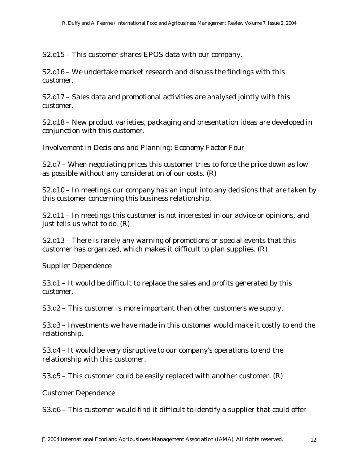S2.q15 – This customer shares EPOS data with our company.

S2.q16 – We undertake market research and discuss the findings with this customer.

S2.q17 – Sales data and promotional activities are analysed jointly with this customer.

S2.q18 – New product varieties, packaging and presentation ideas are developed in conjunction with this customer.

*Involvement in Decisions and Planning: Economy Factor Four*

S2.q7 – When negotiating prices this customer tries to force the price down as low as possible without any consideration of our costs. (R)

S2.q10 – In meetings our company has an input into any decisions that are taken by this customer concerning this business relationship.

S2.q11 – In meetings this customer is not interested in our advice or opinions, and just tells us what to do. (R)

S2.q13 – There is rarely any warning of promotions or special events that this customer has organized, which makes it difficult to plan supplies. (R)

## *Supplier Dependence*

S3.q1 – It would be difficult to replace the sales and profits generated by this customer.

S3.q2 – This customer is more important than other customers we supply.

S3.q3 – Investments we have made in this customer would make it costly to end the relationship.

S3.q4 – It would be very disruptive to our company's operations to end the relationship with this customer.

S3.q5 – This customer could be easily replaced with another customer. (R)

*Customer Dependence*

S3.q6 – This customer would find it difficult to identify a supplier that could offer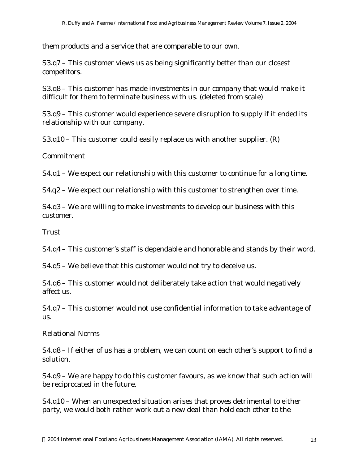them products and a service that are comparable to our own.

S3.q7 – This customer views us as being significantly better than our closest competitors.

S3.q8 – This customer has made investments in our company that would make it difficult for them to terminate business with us. (deleted from scale)

S3.q9 – This customer would experience severe disruption to supply if it ended its relationship with our company.

S3.q10 – This customer could easily replace us with another supplier. (R)

*Commitment*

S4.q1 – We expect our relationship with this customer to continue for a long time.

S4.q2 – We expect our relationship with this customer to strengthen over time.

S4.q3 – We are willing to make investments to develop our business with this customer.

*Trust* 

S4.q4 – This customer's staff is dependable and honorable and stands by their word.

S4.q5 – We believe that this customer would not try to deceive us.

S4.q6 – This customer would not deliberately take action that would negatively affect us.

S4.q7 – This customer would not use confidential information to take advantage of us.

#### *Relational Norms*

S4.q8 – If either of us has a problem, we can count on each other's support to find a solution.

S4.q9 – We are happy to do this customer favours, as we know that such action will be reciprocated in the future.

S4.q10 – When an unexpected situation arises that proves detrimental to either party, we would both rather work out a new deal than hold each other to the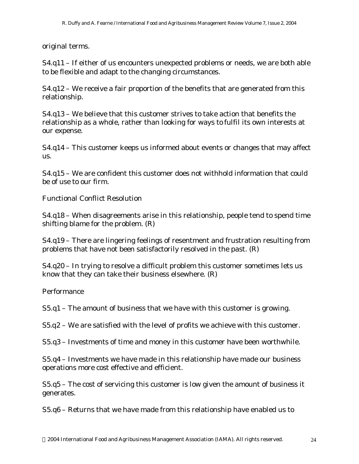original terms.

S4.q11 – If either of us encounters unexpected problems or needs, we are both able to be flexible and adapt to the changing circumstances.

S4.q12 – We receive a fair proportion of the benefits that are generated from this relationship.

S4.q13 – We believe that this customer strives to take action that benefits the relationship as a whole, rather than looking for ways to fulfil its own interests at our expense.

S4.q14 – This customer keeps us informed about events or changes that may affect us.

S4.q15 – We are confident this customer does not withhold information that could be of use to our firm.

## *Functional Conflict Resolution*

S4.q18 – When disagreements arise in this relationship, people tend to spend time shifting blame for the problem. (R)

S4.q19 – There are lingering feelings of resentment and frustration resulting from problems that have not been satisfactorily resolved in the past. (R)

S4.q20 – In trying to resolve a difficult problem this customer sometimes lets us know that they can take their business elsewhere. (R)

## *Performance*

S5.q1 – The amount of business that we have with this customer is growing.

S5.q2 – We are satisfied with the level of profits we achieve with this customer.

S5.q3 – Investments of time and money in this customer have been worthwhile.

S5.q4 – Investments we have made in this relationship have made our business operations more cost effective and efficient.

S5.q5 – The cost of servicing this customer is low given the amount of business it generates.

S5.q6 – Returns that we have made from this relationship have enabled us to